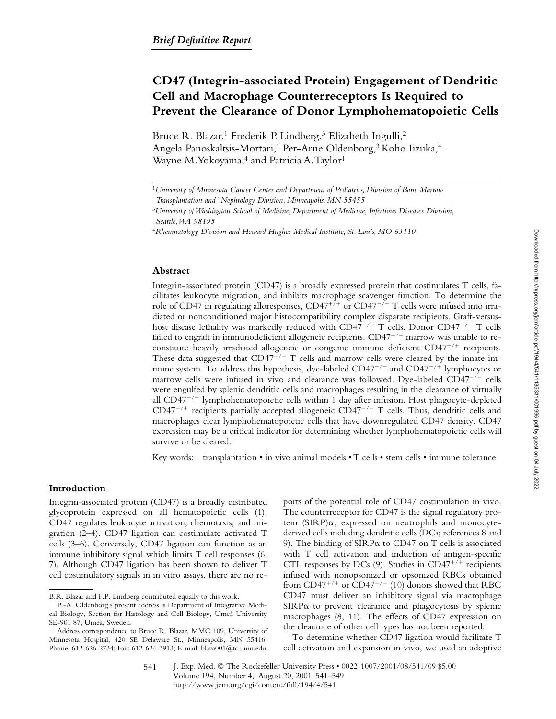# **CD47 (Integrin-associated Protein) Engagement of Dendritic Cell and Macrophage Counterreceptors Is Required to Prevent the Clearance of Donor Lymphohematopoietic Cells**

Bruce R. Blazar,<sup>1</sup> Frederik P. Lindberg,<sup>3</sup> Elizabeth Ingulli,<sup>2</sup> Angela Panoskaltsis-Mortari,<sup>1</sup> Per-Arne Oldenborg,<sup>3</sup> Koho Iizuka,<sup>4</sup> Wayne M. Yokoyama,<sup>4</sup> and Patricia A. Taylor<sup>1</sup>

#### **Abstract**

Integrin-associated protein (CD47) is a broadly expressed protein that costimulates T cells, facilitates leukocyte migration, and inhibits macrophage scavenger function. To determine the role of CD47 in regulating alloresponses,  $CD47^{+/+}$  or  $CD47^{-/-}$  T cells were infused into irradiated or nonconditioned major histocompatibility complex disparate recipients. Graft-versushost disease lethality was markedly reduced with  $CD47^{-/-}$  T cells. Donor  $CD47^{-/-}$  T cells failed to engraft in immunodeficient allogeneic recipients.  $CD47^{-/-}$  marrow was unable to reconstitute heavily irradiated allogeneic or congenic immune-deficient CD47<sup>+/+</sup> recipients. These data suggested that  $CD47^{-/-}$  T cells and marrow cells were cleared by the innate immune system. To address this hypothesis, dye-labeled CD47 $^{-/-}$  and CD47 $^{++}$  lymphocytes or marrow cells were infused in vivo and clearance was followed. Dye-labeled  $CD47^{-/-}$  cells were engulfed by splenic dendritic cells and macrophages resulting in the clearance of virtually all  $CD47^{-/-}$  lymphohematopoietic cells within 1 day after infusion. Host phagocyte-depleted  $CD47^{+/+}$  recipients partially accepted allogeneic  $CD47^{-/-}$  T cells. Thus, dendritic cells and macrophages clear lymphohematopoietic cells that have downregulated CD47 density. CD47 expression may be a critical indicator for determining whether lymphohematopoietic cells will survive or be cleared.

Key words: transplantation  $\cdot$  in vivo animal models  $\cdot$  T cells  $\cdot$  stem cells  $\cdot$  immune tolerance

### **Introduction**

Integrin-associated protein (CD47) is a broadly distributed glycoprotein expressed on all hematopoietic cells (1). CD47 regulates leukocyte activation, chemotaxis, and migration (2–4). CD47 ligation can costimulate activated T cells (3–6). Conversely, CD47 ligation can function as an immune inhibitory signal which limits T cell responses (6, 7). Although CD47 ligation has been shown to deliver T cell costimulatory signals in in vitro assays, there are no re-

ports of the potential role of CD47 costimulation in vivo. The counterreceptor for CD47 is the signal regulatory protein  $(SIRP)\alpha$ , expressed on neutrophils and monocytederived cells including dendritic cells (DCs; references 8 and 9). The binding of SIRP $\alpha$  to CD47 on T cells is associated with T cell activation and induction of antigen-specific CTL responses by DCs (9). Studies in CD47<sup>+/+</sup> recipients infused with nonopsonized or opsonized RBCs obtained from CD47<sup>+/+</sup> or CD47<sup>-/-</sup> (10) donors showed that RBC CD47 must deliver an inhibitory signal via macrophage  $SIRP\alpha$  to prevent clearance and phagocytosis by splenic macrophages (8, 11). The effects of CD47 expression on the clearance of other cell types has not been reported.

To determine whether CD47 ligation would facilitate T cell activation and expansion in vivo, we used an adoptive

<sup>1</sup>*University of Minnesota Cancer Center and Department of Pediatrics, Division of Bone Marrow Transplantation and* <sup>2</sup>*Nephrology Division, Minneapolis, MN 55455*

<sup>3</sup>*University of Washington School of Medicine, Department of Medicine, Infectious Diseases Division, Seattle, WA 98195*

<sup>4</sup>*Rheumatology Division and Howard Hughes Medical Institute, St. Louis, MO 63110*

B.R. Blazar and F.P. Lindberg contributed equally to this work.

P.-A. Oldenborg's present address is Department of Integrative Medical Biology, Section for Histology and Cell Biology, Umeå University SE-901 87, Umeå, Sweden.

Address correspondence to Bruce R. Blazar, MMC 109, University of Minnesota Hospital, 420 SE Delaware St., Minneapolis, MN 55416. Phone: 612-626-2734; Fax: 612-624-3913; E-mail: blaza001@tc.umn.edu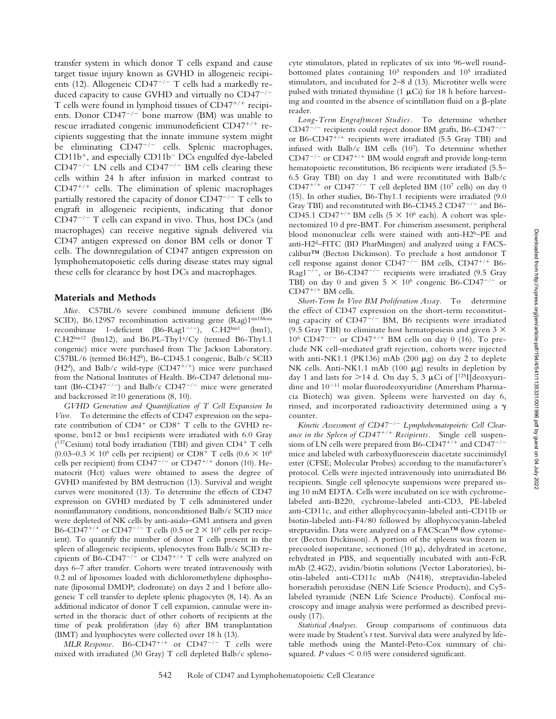transfer system in which donor T cells expand and cause target tissue injury known as GVHD in allogeneic recipients (12). Allogeneic CD47<sup>-/-</sup> T cells had a markedly reduced capacity to cause GVHD and virtually no  $CD47^{-/-}$ T cells were found in lymphoid tissues of CD47<sup>+/+</sup> recipients. Donor  $CD47^{-/-}$  bone marrow (BM) was unable to rescue irradiated congenic immunodeficient CD47+/+ recipients suggesting that the innate immune system might be eliminating  $CD47^{-/-}$  cells. Splenic macrophages, CD11b<sup>+</sup>, and especially CD11b<sup>-</sup> DCs engulfed dye-labeled  $CD47^{-/-}$  LN cells and  $CD47^{-/-}$  BM cells clearing these cells within 24 h after infusion in marked contrast to CD47<sup>+/+</sup> cells. The elimination of splenic macrophages partially restored the capacity of donor  $CD47^{-/-}$  T cells to engraft in allogeneic recipients, indicating that donor  $CD47^{-/-}$  T cells can expand in vivo. Thus, host DCs (and macrophages) can receive negative signals delivered via CD47 antigen expressed on donor BM cells or donor T cells. The downregulation of CD47 antigen expression on lymphohematopoietic cells during disease states may signal these cells for clearance by host DCs and macrophages.

#### **Materials and Methods**

*Mice.* C57BL/6 severe combined immune deficient (B6 SCID), B6.129S7 recombination activating gene (Rag)1tm1Mom recombinase 1-deficient (B6-Rag1<sup>-/-</sup>), C.H2bm1 (bm1),  $C.H2^{bm12}$  (bm12), and B6.PL-Thy1<sup>a</sup>/Cy (termed B6-Thy1.1 congenic) mice were purchased from The Jackson Laboratory. C57BL/6 (termed B6:H2b), B6-CD45.1 congenic, Balb/c SCID (H2<sup>d</sup>), and Balb/c wild-type (CD47<sup>+/+</sup>) mice were purchased from the National Institutes of Health. B6-CD47 deletional mutant (B6-CD47<sup>-/-</sup>) and Balb/c CD47<sup>-/-</sup> mice were generated and backcrossed  $\geq 10$  generations (8, 10).

*GVHD Generation and Quantification of T Cell Expansion In Vivo.* To determine the effects of CD47 expression on the separate contribution of CD4<sup>+</sup> or CD8<sup>+</sup> T cells to the GVHD response, bm12 or bm1 recipients were irradiated with 6.0 Gray ( $137$ Cesium) total body irradiation (TBI) and given CD4+ T cells (0.03–0.3  $\times$  10<sup>6</sup> cells per recipient) or CD8<sup>+</sup> T cells (0.6  $\times$  10<sup>6</sup> cells per recipient) from CD47<sup>-/-</sup> or CD47<sup>+/+</sup> donors (10). Hematocrit (Hct) values were obtained to assess the degree of GVHD manifested by BM destruction (13). Survival and weight curves were monitored (13). To determine the effects of CD47 expression on GVHD mediated by T cells administered under noninflammatory conditions, nonconditioned Balb/c SCID mice were depleted of NK cells by anti-asialo–GM1 antisera and given B6-CD47<sup>+/+</sup> or CD47<sup>-/-</sup> T cells (0.5 or  $2 \times 10^6$  cells per recipient). To quantify the number of donor T cells present in the spleen of allogeneic recipients, splenocytes from Balb/c SCID recipients of B6-CD47<sup>-/-</sup> or CD47<sup>+/+</sup> T cells were analyzed on days 6–7 after transfer. Cohorts were treated intravenously with 0.2 ml of liposomes loaded with dichloromethylene diphosphonate (liposomal DMDP; clodronate) on days 2 and 1 before allogeneic T cell transfer to deplete splenic phagocytes (8, 14). As an additional indicator of donor T cell expansion, cannulae were inserted in the thoracic duct of other cohorts of recipients at the time of peak proliferation (day 6) after BM transplantation (BMT) and lymphocytes were collected over 18 h (13).

 $MLR$  Response.  $B6$ - $CD47$ <sup>+/+</sup> or  $CD47$ <sup>-/-</sup> T cells were mixed with irradiated (30 Gray) T cell depleted Balb/c spleno-

cyte stimulators, plated in replicates of six into 96-well roundbottomed plates containing 105 responders and 105 irradiated stimulators, and incubated for 2–8 d (13). Microtiter wells were pulsed with tritiated thymidine  $(1 \mu\text{Ci})$  for 18 h before harvesting and counted in the absence of scintillation fluid on a  $\beta$ -plate reader.

*Long-Term Engraftment Studies.* To determine whether  $CD47^{-/-}$  recipients could reject donor BM grafts, B6-CD47<sup>-/-</sup> or B6-CD47<sup>+/+</sup> recipients were irradiated (5.5 Gray TBI) and infused with Balb/c BM cells (107). To determine whether  $CD47^{-/-}$  or  $CD47^{+/+}$  BM would engraft and provide long-term hematopoietic reconstitution, B6 recipients were irradiated (5.5– 6.5 Gray TBI) on day 1 and were reconstituted with Balb/c CD47<sup>+/+</sup> or CD47<sup>-/-</sup> T cell depleted BM (10<sup>7</sup> cells) on day 0 (15). In other studies, B6-Thy1.1 recipients were irradiated (9.0 Gray TBI) and reconstituted with B6-CD45.2 CD47 $^{-/-}$  and B6-CD45.1 CD47<sup>+/+</sup> BM cells (5  $\times$  10<sup>6</sup> each). A cohort was splenectomized 10 d pre-BMT. For chimerism assessment, peripheral blood mononuclear cells were stained with anti-H2b–PE and anti-H2d–FITC (BD PharMingen) and analyzed using a FACScalibur™ (Becton Dickinson). To preclude a host antidonor T cell response against donor CD47<sup>-/-</sup> BM cells, CD47<sup>+/+</sup> B6-Rag1<sup>-/-</sup>, or B6-CD47<sup>-/-</sup> recipients were irradiated (9.5 Gray TBI) on day 0 and given  $5 \times 10^6$  congenic B6-CD47<sup>-/-</sup> or  $CD47^{+/+}$  BM cells.

*Short-Term In Vivo BM Proliferation Assay.* To determine the effect of CD47 expression on the short-term reconstituting capacity of  $CD47^{-/-}$  BM, B6 recipients were irradiated (9.5 Gray TBI) to eliminate host hematopoiesis and given  $3 \times$  $10^6$  CD47<sup>-/-</sup> or CD47<sup>+/+</sup> BM cells on day 0 (16). To preclude NK cell–mediated graft rejection, cohorts were injected with anti-NK1.1 (PK136) mAb (200  $\mu$ g) on day 2 to deplete NK cells. Anti-NK1.1 mAb (100  $\mu$ g) results in depletion by day 1 and lasts for  $>$ 14 d. On day 5, 3 µCi of [<sup>125</sup>I]deoxyuridine and  $10^{-11}$  molar fluorodeoxyuridine (Amersham Pharmacia Biotech) was given. Spleens were harvested on day 6, rinsed, and incorporated radioactivity determined using a  $\gamma$ counter.

*Kinetic Assessment of CD47/ Lymphohematopoietic Cell Clear*ance in the Spleen of CD47<sup>+/+</sup> Recipients. Single cell suspensions of LN cells were prepared from B6-CD47<sup>+/+</sup> and CD47<sup>-/-</sup> mice and labeled with carboxyfluorescein diacetate succinimidyl ester (CFSE; Molecular Probes) according to the manufacturer's protocol. Cells were injected intravenously into unirradiated B6 recipients. Single cell splenocyte suspensions were prepared using 10 mM EDTA. Cells were incubated on ice with cychromelabeled anti-B220, cychrome-labeled anti-CD3, PE-labeled anti-CD11c, and either allophycocyanin-labeled anti-CD11b or biotin-labeled anti-F4/80 followed by allophycocyanin-labeled streptavidin. Data were analyzed on a FACScan™ flow cytometer (Becton Dickinson). A portion of the spleens was frozen in precooled isopentane, sectioned (10  $\mu$ ), dehydrated in acetone, rehydrated in PBS, and sequentially incubated with anti-FcR mAb (2.4G2), avidin/biotin solutions (Vector Laboratories), biotin-labeled anti-CD11c mAb (N418), streptavidin-labeled horseradish peroxidase (NEN Life Science Products), and Cy5 labeled tyramide (NEN Life Science Products). Confocal microscopy and image analysis were performed as described previously (17).

*Statistical Analyses.* Group comparisons of continuous data were made by Student's *t* test. Survival data were analyzed by lifetable methods using the Mantel-Peto-Cox summary of chisquared.  $P$  values  $\leq 0.05$  were considered significant.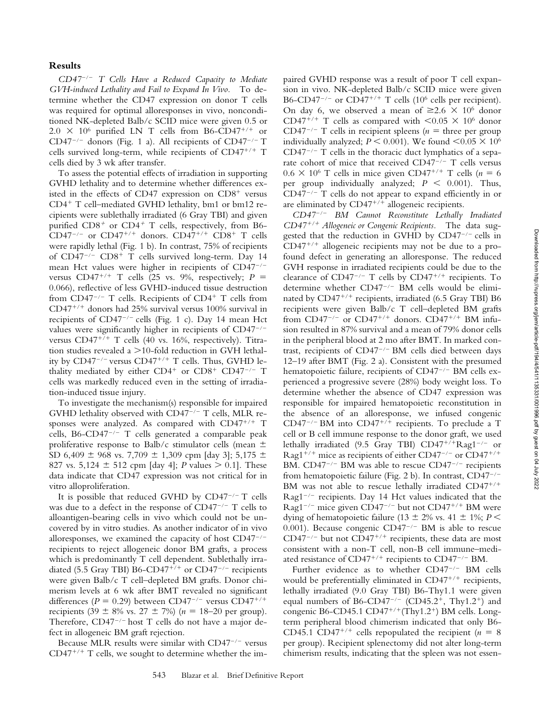## **Results**

*CD47*/ *T Cells Have a Reduced Capacity to Mediate GVH-induced Lethality and Fail to Expand In Vivo.* To determine whether the CD47 expression on donor T cells was required for optimal alloresponses in vivo, nonconditioned NK-depleted Balb/c SCID mice were given 0.5 or  $2.0 \times 10^6$  purified LN T cells from B6-CD47<sup>+/+</sup> or CD47<sup>-/-</sup> donors (Fig. 1 a). All recipients of CD47<sup>-/-</sup> T cells survived long-term, while recipients of CD47<sup>+/+</sup> T cells died by 3 wk after transfer.

To assess the potential effects of irradiation in supporting GVHD lethality and to determine whether differences existed in the effects of CD47 expression on CD8<sup>+</sup> versus CD4<sup>+</sup> T cell-mediated GVHD lethality, bm1 or bm12 recipients were sublethally irradiated (6 Gray TBI) and given purified  $CD8^+$  or  $CD4^+$  T cells, respectively, from B6-CD47<sup>-/-</sup> or CD47<sup>+/+</sup> donors. CD47<sup>+/+</sup> CD8<sup>+</sup> T cells were rapidly lethal (Fig. 1 b). In contrast, 75% of recipients of CD47<sup>-/-</sup> CD8<sup>+</sup> T cells survived long-term. Day 14 mean Hct values were higher in recipients of  $CD47^{-/-}$ versus  $CD47^{+/+}$  T cells (25 vs. 9%, respectively;  $P =$ 0.066), reflective of less GVHD-induced tissue destruction from  $CD47^{-/-}$  T cells. Recipients of  $CD4^{+}$  T cells from CD47<sup>+/+</sup> donors had 25% survival versus 100% survival in recipients of  $CD47^{-/-}$  cells (Fig. 1 c). Day 14 mean Hct values were significantly higher in recipients of CD47-/versus CD47<sup>+/+</sup> T cells (40 vs. 16%, respectively). Titration studies revealed a  $>$  10-fold reduction in GVH lethality by CD47<sup>-/-</sup> versus CD47<sup>+/+</sup> T cells. Thus, GVHD lethality mediated by either  $CD4^+$  or  $CD8^+$   $CD47^{-/-}$  T cells was markedly reduced even in the setting of irradiation-induced tissue injury.

To investigate the mechanism(s) responsible for impaired GVHD lethality observed with CD47 $^{-/-}$  T cells, MLR responses were analyzed. As compared with CD47<sup>+/+</sup> T cells, B6-CD47<sup>-/-</sup> T cells generated a comparable peak proliferative response to Balb/c stimulator cells (mean  $\pm$ SD 6,409  $\pm$  968 vs. 7,709  $\pm$  1,309 cpm [day 3]; 5,175  $\pm$ 827 vs.  $5,124 \pm 512$  cpm [day 4]; *P* values  $> 0.1$ ]. These data indicate that CD47 expression was not critical for in vitro alloproliferation.

It is possible that reduced GVHD by  $CD47^{-/-}$  T cells was due to a defect in the response of CD47<sup>-/-</sup> T cells to alloantigen-bearing cells in vivo which could not be uncovered by in vitro studies. As another indicator of in vivo alloresponses, we examined the capacity of host  $CD47^{-/-}$ recipients to reject allogeneic donor BM grafts, a process which is predominantly T cell dependent. Sublethally irradiated (5.5 Gray TBI) B6-CD47<sup>+/+</sup> or CD47<sup>-/-</sup> recipients were given Balb/c T cell–depleted BM grafts. Donor chimerism levels at 6 wk after BMT revealed no significant differences ( $P = 0.29$ ) between CD47<sup>-/-</sup> versus CD47<sup>+/+</sup> recipients (39  $\pm$  8% vs. 27  $\pm$  7%) (*n* = 18–20 per group). Therefore,  $CD47^{-/-}$  host T cells do not have a major defect in allogeneic BM graft rejection.

Because MLR results were similar with  $CD47^{-/-}$  versus  $CD47^{+/+}$  T cells, we sought to determine whether the impaired GVHD response was a result of poor T cell expansion in vivo. NK-depleted Balb/c SCID mice were given B6-CD47<sup>-/-</sup> or CD47<sup>+/+</sup> T cells (10<sup>6</sup> cells per recipient). On day 6, we observed a mean of  $\geq 2.6 \times 10^6$  donor CD47<sup>+/+</sup> T cells as compared with  $< 0.05 \times 10^6$  donor CD47<sup>-/-</sup> T cells in recipient spleens ( $n =$  three per group individually analyzed;  $P \le 0.001$ ). We found  $\le 0.05 \times 10^6$  $CD47^{-/-}$  T cells in the thoracic duct lymphatics of a separate cohort of mice that received  $CD47^{-/-}$  T cells versus  $0.6 \times 10^6$  T cells in mice given CD47<sup>+/+</sup> T cells ( $n = 6$ ) per group individually analyzed;  $P \leq 0.001$ ). Thus,  $CD47^{-/-}$  T cells do not appear to expand efficiently in or are eliminated by CD47<sup>+/+</sup> allogeneic recipients.

*CD47*/ *BM Cannot Reconstitute Lethally Irradiated CD47*-*/*- *Allogeneic or Congenic Recipients.* The data suggested that the reduction in GVHD by  $CD47^{-/-}$  cells in  $CD47^{+/+}$  allogeneic recipients may not be due to a profound defect in generating an alloresponse. The reduced GVH response in irradiated recipients could be due to the clearance of  $CD47^{-/-}$  T cells by  $CD47^{+/+}$  recipients. To determine whether CD47<sup>-/-</sup> BM cells would be eliminated by CD47<sup>+/+</sup> recipients, irradiated (6.5 Gray TBI) B6 recipients were given Balb/c T cell–depleted BM grafts from CD47<sup>-/-</sup> or CD47<sup>+/+</sup> donors. CD47<sup>+/+</sup> BM infusion resulted in 87% survival and a mean of 79% donor cells in the peripheral blood at 2 mo after BMT. In marked contrast, recipients of  $CD47^{-/-}$  BM cells died between days 12–19 after BMT (Fig. 2 a). Consistent with the presumed hematopoietic failure, recipients of  $CD47^{-/-}$  BM cells experienced a progressive severe (28%) body weight loss. To determine whether the absence of CD47 expression was responsible for impaired hematopoietic reconstitution in the absence of an alloresponse, we infused congenic  $CD47^{-/-}$  BM into  $CD47^{+/+}$  recipients. To preclude a T cell or B cell immune response to the donor graft, we used lethally irradiated (9.5 Gray TBI) CD47<sup>+/+</sup>Rag1<sup>-/-</sup> or Rag1<sup>+/+</sup> mice as recipients of either CD47<sup>-/-</sup> or CD47<sup>+/+</sup> BM.  $CD47^{-/-}$  BM was able to rescue  $CD47^{-/-}$  recipients from hematopoietic failure (Fig. 2 b). In contrast,  $CD47^{-/-}$ BM was not able to rescue lethally irradiated CD47<sup>+/+</sup> Rag1 $^{-/-}$  recipients. Day 14 Hct values indicated that the Rag1<sup>-/-</sup> mice given CD47<sup>-/-</sup> but not CD47<sup>+/+</sup> BM were dying of hematopoietic failure (13  $\pm$  2% vs. 41  $\pm$  1%; *P* < 0.001). Because congenic  $CD47^{-/-}$  BM is able to rescue  $CD47^{-/-}$  but not  $CD47^{+/+}$  recipients, these data are most consistent with a non-T cell, non-B cell immune–mediated resistance of  $CD47^{+/+}$  recipients to  $CD47^{-/-}$  BM.

Further evidence as to whether CD47<sup>-/-</sup> BM cells would be preferentially eliminated in CD47<sup>+/+</sup> recipients, lethally irradiated (9.0 Gray TBI) B6-Thy1.1 were given equal numbers of B6-CD47<sup>-/-</sup> (CD45.2<sup>+</sup>, Thy1.2<sup>+</sup>) and congenic B6-CD45.1 CD47<sup>+/+</sup>(Thy1.2<sup>+</sup>) BM cells. Longterm peripheral blood chimerism indicated that only B6- CD45.1 CD47<sup>+/+</sup> cells repopulated the recipient ( $n = 8$ ) per group). Recipient splenectomy did not alter long-term chimerism results, indicating that the spleen was not essen-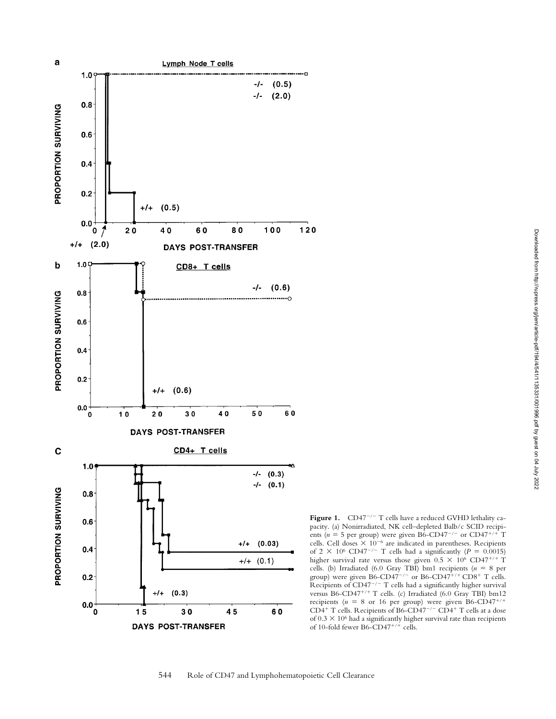

**Figure 1.**  $CD47^{-/-}$  T cells have a reduced GVHD lethality capacity. (a) Nonirradiated, NK cell–depleted Balb/c SCID recipients ( $n = 5$  per group) were given B6-CD47<sup>-/-</sup> or CD47<sup>+/+</sup> T cells. Cell doses  $\times$  10<sup>-6</sup> are indicated in parentheses. Recipients of 2  $\times$  10<sup>6</sup> CD47<sup>-/-</sup> T cells had a significantly ( $P = 0.0015$ ) higher survival rate versus those given  $0.5 \times 10^6$  CD47<sup>+/+</sup> T cells. (b) Irradiated (6.0 Gray TBI) bm1 recipients ( $n = 8$  per group) were given B6-CD47<sup>-/-</sup> or B6-CD47<sup>+/+</sup> CD8<sup>+</sup> T cells. Recipients of  $CD47^{-/-}$  T cells had a significantly higher survival versus B6-CD47<sup>+/+</sup> T cells. (c) Irradiated (6.0 Gray TBI) bm12 recipients (*n* = 8 or 16 per group) were given B6-CD47<sup>+/+</sup><br>CD4<sup>+</sup> T cells. Recipients of B6-CD47<sup>-/-</sup> CD4<sup>+</sup> T cells at a dose of  $0.3 \times 10^6$  had a significantly higher survival rate than recipients of 10-fold fewer B6-CD47<sup>+/+</sup> cells.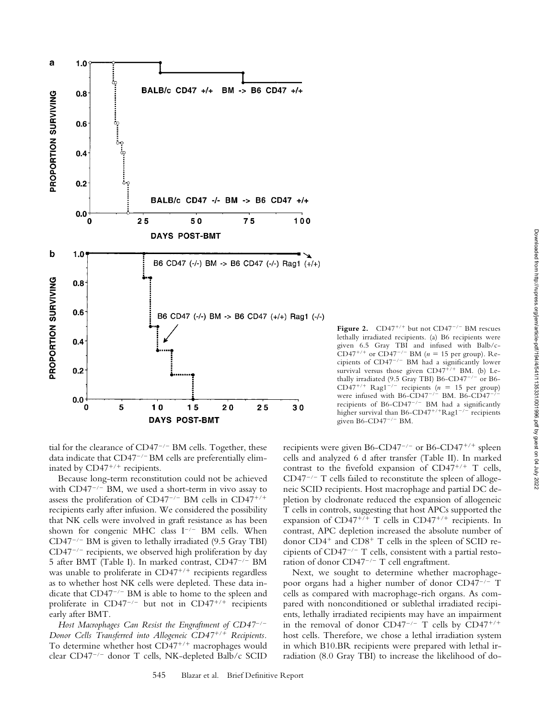

tial for the clearance of  $CD47^{-/-}$  BM cells. Together, these data indicate that  $CD47^{-/-}$  BM cells are preferentially eliminated by CD47<sup>+/+</sup> recipients.

Because long-term reconstitution could not be achieved with  $CD47^{-/-}$  BM, we used a short-term in vivo assay to assess the proliferation of CD47<sup>-/-</sup> BM cells in CD47<sup>+/+</sup> recipients early after infusion. We considered the possibility that NK cells were involved in graft resistance as has been shown for congenic MHC class  $I^{-/-}$  BM cells. When  $CD47^{-/-}$  BM is given to lethally irradiated (9.5 Gray TBI)  $CD47^{-/-}$  recipients, we observed high proliferation by day 5 after BMT (Table I). In marked contrast, CD47<sup>-/-</sup> BM was unable to proliferate in CD47<sup>+/+</sup> recipients regardless as to whether host NK cells were depleted. These data indicate that  $CD47^{-/-}$  BM is able to home to the spleen and proliferate in  $CD47^{-/-}$  but not in  $CD47^{+/+}$  recipients early after BMT.

*Host Macrophages Can Resist the Engraftment of CD47*/ *Donor Cells Transferred into Allogeneic CD47*-*/*- *Recipients.* To determine whether host CD47<sup>+/+</sup> macrophages would clear CD47<sup>-/-</sup> donor T cells, NK-depleted Balb/c SCID

recipients were given B6-CD47<sup>-/-</sup> or B6-CD47<sup>+/+</sup> spleen cells and analyzed 6 d after transfer (Table II). In marked contrast to the fivefold expansion of  $CD47^{+/+}$  T cells,  $CD47^{-/-}$  T cells failed to reconstitute the spleen of allogeneic SCID recipients. Host macrophage and partial DC depletion by clodronate reduced the expansion of allogeneic T cells in controls, suggesting that host APCs supported the expansion of CD47<sup>+/+</sup> T cells in CD47<sup>+/+</sup> recipients. In contrast, APC depletion increased the absolute number of donor CD4<sup>+</sup> and CD8<sup>+</sup> T cells in the spleen of SCID recipients of  $CD47^{-/-}$  T cells, consistent with a partial restoration of donor  $CD47^{-/-}$  T cell engraftment.

given B6-CD47<sup>-/-</sup> BM.

Figure 2.  $CD47^{+/+}$  but not  $CD47^{-/-}$  BM rescues lethally irradiated recipients. (a) B6 recipients were given 6.5 Gray TBI and infused with Balb/c-CD47<sup>+/+</sup> or CD47<sup>-/-</sup> BM ( $n = 15$  per group). Recipients of  $CD47^{-/-}$  BM had a significantly lower survival versus those given CD47<sup>+/+</sup> BM. (b) Lethally irradiated (9.5 Gray TBI) B6-CD47<sup>-/-</sup> or B6- $CD47^{+/+}$  Rag1<sup>-/-</sup> recipients (*n* = 15 per group) were infused with B6-CD47<sup>-/-</sup> BM. B6-CD47<sup>-/</sup> recipients of B6-CD47<sup>-/-</sup> BM had a significantly higher survival than B6-CD47<sup>+/+</sup>Rag1<sup>-/-</sup> recipients

Next, we sought to determine whether macrophagepoor organs had a higher number of donor CD47-/- T cells as compared with macrophage-rich organs. As compared with nonconditioned or sublethal irradiated recipients, lethally irradiated recipients may have an impairment in the removal of donor CD47<sup>-/-</sup> T cells by CD47<sup>+/+</sup> host cells. Therefore, we chose a lethal irradiation system in which B10.BR recipients were prepared with lethal irradiation (8.0 Gray TBI) to increase the likelihood of do-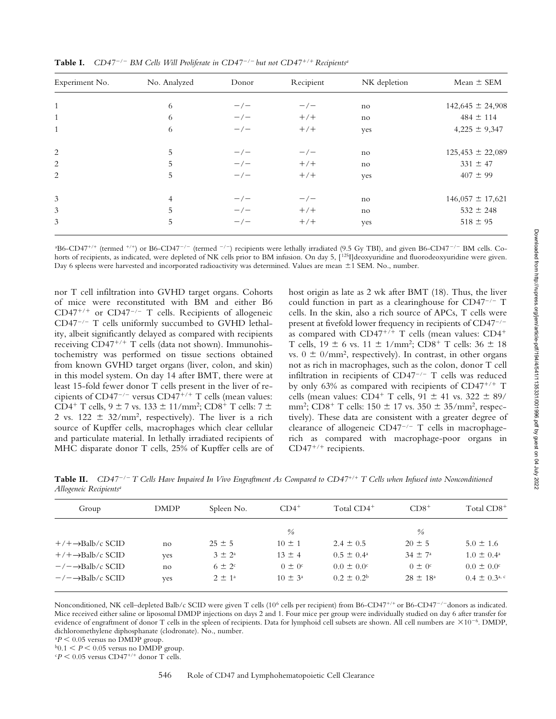| Experiment No. | No. Analyzed | Donor               | Recipient           | NK depletion | Mean $\pm$ SEM       |
|----------------|--------------|---------------------|---------------------|--------------|----------------------|
| 1              | 6            | $-\big/$            | $-\big/$            | no           | $142,645 \pm 24,908$ |
| $\mathbf{1}$   | 6            | $-\prime -$         | $+/+$               | no           | $484 \pm 114$        |
| 1              | 6            | $-\big$ $\big)$ $-$ | $+/+$               | yes          | $4,225 \pm 9,347$    |
| 2              | 5            | $-\prime -$         | $-\big$ $\big)$ $-$ | no           | $125,453 \pm 22,089$ |
| 2              | 5            | $-\big/$            | $+/+$               | no           | $331 \pm 47$         |
| 2              | 5            | $-\big/$            | $+/+$               | yes          | $407 \pm 99$         |
| 3              | 4            | $-\big/$            | $-\big/$            | no           | $146,057 \pm 17,621$ |
| 3              | 5            | $-\big/$            | $+/+$               | no           | $532 \pm 248$        |
| 3              | 5            | $-\big/$            | $+/+$               | yes          | $518 \pm 95$         |

**Table I.** *CD47/ BM Cells Will Proliferate in CD47/ but not CD47*-*/*- *Recipientsa*

<sup>a</sup>B6-CD47<sup>+/+</sup> (termed <sup>+/+</sup>) or B6-CD47<sup>-/-</sup> (termed <sup>-/-</sup>) recipients were lethally irradiated (9.5 Gy TBI), and given B6-CD47<sup>-/-</sup> BM cells. Cohorts of recipients, as indicated, were depleted of NK cells prior to BM infusion. On day 5, [125] deoxyuridine and fluorodeoxyuridine were given. Day 6 spleens were harvested and incorporated radioactivity was determined. Values are mean ±1 SEM. No., number.

nor T cell infiltration into GVHD target organs. Cohorts of mice were reconstituted with BM and either B6  $CD47^{+/+}$  or  $CD47^{-/-}$  T cells. Recipients of allogeneic CD47<sup>-/-</sup> T cells uniformly succumbed to GVHD lethality, albeit significantly delayed as compared with recipients receiving CD47<sup>+/+</sup> T cells (data not shown). Immunohistochemistry was performed on tissue sections obtained from known GVHD target organs (liver, colon, and skin) in this model system. On day 14 after BMT, there were at least 15-fold fewer donor T cells present in the liver of recipients of  $CD47^{-/-}$  versus  $CD47^{+/+}$  T cells (mean values: CD4<sup>+</sup> T cells, 9  $\pm$  7 vs. 133  $\pm$  11/mm<sup>2</sup>; CD8<sup>+</sup> T cells: 7  $\pm$ 2 vs.  $122 \pm 32/\text{mm}^2$ , respectively). The liver is a rich source of Kupffer cells, macrophages which clear cellular and particulate material. In lethally irradiated recipients of MHC disparate donor T cells, 25% of Kupffer cells are of host origin as late as 2 wk after BMT (18). Thus, the liver could function in part as a clearinghouse for  $CD47^{-/-}$  T cells. In the skin, also a rich source of APCs, T cells were present at fivefold lower frequency in recipients of CD47-/as compared with CD47<sup>+/+</sup> T cells (mean values: CD4<sup>+</sup> T cells,  $19 \pm 6$  vs.  $11 \pm 1/\text{mm}^2$ ;  $CD8^+$  T cells:  $36 \pm 18$ vs.  $0 \pm 0/\text{mm}^2$ , respectively). In contrast, in other organs not as rich in macrophages, such as the colon, donor T cell infiltration in recipients of  $CD47^{-/-}$  T cells was reduced by only 63% as compared with recipients of CD47<sup>+/+</sup> T cells (mean values: CD4<sup>+</sup> T cells,  $91 \pm 41$  vs.  $322 \pm 89/$ mm<sup>2</sup>; CD8<sup>+</sup> T cells: 150  $\pm$  17 vs. 350  $\pm$  35/mm<sup>2</sup>, respectively). These data are consistent with a greater degree of clearance of allogeneic  $CD47^{-/-}$  T cells in macrophagerich as compared with macrophage-poor organs in CD47<sup>+/+</sup> recipients.

**Table II.** *CD47/ T Cells Have Impaired In Vivo Engraftment As Compared to CD47+/+ T Cells when Infused into Nonconditioned Allogeneic Recipientsa*

| Group                               | <b>DMDP</b> | Spleen No.        | $CD4^+$                | Total CD4 <sup>+</sup> | $CD8+$                 | Total CD8 <sup>+</sup>        |
|-------------------------------------|-------------|-------------------|------------------------|------------------------|------------------------|-------------------------------|
|                                     |             |                   | $\frac{0}{0}$          |                        | $\frac{0}{0}$          |                               |
| $+/- \rightarrow$ Balb/c SCID       | no          | $25 \pm 5$        | $10 \pm 1$             | $2.4 \pm 0.5$          | $20 \pm 5$             | $5.0 \pm 1.6$                 |
| $+$ /+ $\rightarrow$ Balb/c SCID    | yes         | $3 \pm 2^{\circ}$ | $13 \pm 4$             | $0.5 \pm 0.4^{\circ}$  | $34 \pm 7^{\circ}$     | $1.0 \pm 0.4^{\circ}$         |
| $-\prime$ $\rightarrow$ Balb/c SCID | no          | $6 \pm 2^c$       | $0 \pm 0$ <sup>c</sup> | $0.0 \pm 0.0^{\circ}$  | $0 \pm 0$ <sup>c</sup> | $0.0 \pm 0.0^{\circ}$         |
| $-\prime$ $\rightarrow$ Balb/c SCID | yes         | $2 \pm 1^{\circ}$ | $10 \pm 3^{\circ}$     | $0.2 + 0.2b$           | $28 \pm 18^{\circ}$    | $0.4 \pm 0.3$ <sup>a, c</sup> |
|                                     |             |                   |                        |                        |                        |                               |

Nonconditioned, NK cell–depleted Balb/c SCID were given T cells (10<sup>6</sup> cells per recipient) from B6-CD47<sup>+/+</sup> or B6-CD47<sup>-/-</sup>donors as indicated. Mice received either saline or liposomal DMDP injections on days 2 and 1. Four mice per group were individually studied on day 6 after transfer for evidence of engraftment of donor T cells in the spleen of recipients. Data for lymphoid cell subsets are shown. All cell numbers are  $\times 10^{-6}$ . DMDP, dichloromethylene diphosphanate (clodronate). No., number.

 $P < 0.05$  versus no DMDP group.

 $b$ <sup>b</sup> $0.1 < P < 0.05$  versus no DMDP group.

 $\epsilon P$  < 0.05 versus CD47<sup>+/+</sup> donor T cells.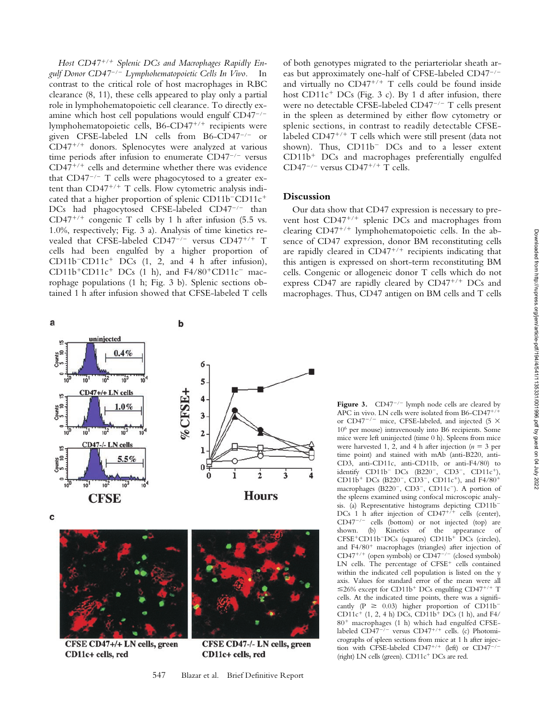Host CD47<sup>+/+</sup> Splenic DCs and Macrophages Rapidly En*gulf Donor CD47*/ *Lymphohematopoietic Cells In Vivo.* In contrast to the critical role of host macrophages in RBC clearance (8, 11), these cells appeared to play only a partial role in lymphohematopoietic cell clearance. To directly examine which host cell populations would engulf  $CD47^{-/-}$ lymphohematopoietic cells, B6-CD47<sup>+/+</sup> recipients were given CFSE-labeled LN cells from B6-CD47<sup>-/-</sup> or CD47<sup>+/+</sup> donors. Splenocytes were analyzed at various time periods after infusion to enumerate  $CD47^{-/-}$  versus CD47<sup>+/+</sup> cells and determine whether there was evidence that  $CD47^{-/-}$  T cells were phagocytosed to a greater extent than CD47<sup>+/+</sup> T cells. Flow cytometric analysis indicated that a higher proportion of splenic CD11b<sup>-</sup>CD11c<sup>+</sup> DCs had phagocytosed CFSE-labeled  $CD47^{-/-}$  than CD47<sup>+/+</sup> congenic T cells by 1 h after infusion (5.5 vs. 1.0%, respectively; Fig. 3 a). Analysis of time kinetics revealed that CFSE-labeled CD47<sup>-/-</sup> versus CD47<sup>+/+</sup> T cells had been engulfed by a higher proportion of  $CD11b$ <sup>-</sup> $CD11c$ <sup>+</sup> DCs (1, 2, and 4 h after infusion),  $CD11b^+CD11c^+$  DCs (1 h), and F4/80<sup>+</sup>CD11c<sup>-</sup> macrophage populations (1 h; Fig. 3 b). Splenic sections obtained 1 h after infusion showed that CFSE-labeled T cells



c



CFSE CD47+/+ LN cells, green CD11c+ cells, red



CFSE CD47-/- LN cells, green CD11c+ cells, red

547 Blazar et al. Brief Definitive Report

of both genotypes migrated to the periarteriolar sheath areas but approximately one-half of CFSE-labeled CD47<sup>-/-</sup> and virtually no CD47<sup>+/+</sup> T cells could be found inside host CD11c<sup>+</sup> DCs (Fig. 3 c). By 1 d after infusion, there were no detectable CFSE-labeled CD47 $^{-/-}$  T cells present in the spleen as determined by either flow cytometry or splenic sections, in contrast to readily detectable CFSElabeled CD47<sup>+/+</sup> T cells which were still present (data not shown). Thus,  $CD11b$ <sup>-</sup> DCs and to a lesser extent CD11b- DCs and macrophages preferentially engulfed  $CD47^{-/-}$  versus  $CD47^{+/+}$  T cells.

## **Discussion**

Our data show that CD47 expression is necessary to prevent host CD47<sup>+/+</sup> splenic DCs and macrophages from clearing CD47<sup>+/+</sup> lymphohematopoietic cells. In the absence of CD47 expression, donor BM reconstituting cells are rapidly cleared in CD47<sup>+/+</sup> recipients indicating that this antigen is expressed on short-term reconstituting BM cells. Congenic or allogeneic donor T cells which do not express CD47 are rapidly cleared by CD47<sup>+/+</sup> DCs and macrophages. Thus, CD47 antigen on BM cells and T cells

> **Figure 3.**  $CD47^{-/-}$  lymph node cells are cleared by APC in vivo. LN cells were isolated from B6-CD47<sup>+/+</sup> or CD47<sup>-/-</sup> mice, CFSE-labeled, and injected (5  $\times$ 106 per mouse) intravenously into B6 recipients. Some mice were left uninjected (time 0 h). Spleens from mice were harvested 1, 2, and 4 h after injection  $(n = 3$  per time point) and stained with mAb (anti-B220, anti-CD3, anti-CD11c, anti-CD11b, or anti-F4/80) to identify  $CD11b^-$  DCs  $(B220^-, \text{ CD3}^-, \text{ CD11c}^+),$ CD11b<sup>+</sup> DCs (B220<sup>-</sup>, CD3<sup>-</sup>, CD11c<sup>+</sup>), and F4/80<sup>+</sup> macrophages (B220<sup>-</sup>, CD3<sup>-</sup>, CD11c<sup>-</sup>). A portion of the spleens examined using confocal microscopic analysis. (a) Representative histograms depicting CD11b DCs 1 h after injection of CD47<sup>+/+</sup> cells (center),  $CD47^{-/-}$  cells (bottom) or not injected (top) are shown. (b) Kinetics of the appearance of CFSE<sup>+</sup>CD11b<sup>-</sup>DCs (squares) CD11b<sup>+</sup> DCs (circles), and F4/80<sup>+</sup> macrophages (triangles) after injection of  $CD47^{+/+}$  (open symbols) or  $CD47^{-/-}$  (closed symbols) LN cells. The percentage of CFSE<sup>+</sup> cells contained within the indicated cell population is listed on the y axis. Values for standard error of the mean were all  $\leq$ 26% except for CD11b<sup>+</sup> DCs engulfing CD47<sup>+/+</sup> T cells. At the indicated time points, there was a significantly (P  $\geq$  0.03) higher proportion of CD11b<sup>-</sup>  $CD11c^{+}$  (1, 2, 4 h) DCs,  $CD11b^{+}$  DCs (1 h), and F4/ 80<sup>+</sup> macrophages (1 h) which had engulfed CFSElabeled CD47<sup>-/-</sup> versus CD47<sup>+/+</sup> cells. (c) Photomicrographs of spleen sections from mice at 1 h after injection with CFSE-labeled  $CD47^{+/+}$  (left) or  $CD47^{-/-}$ (right) LN cells (green). CD11c<sup>+</sup> DCs are red.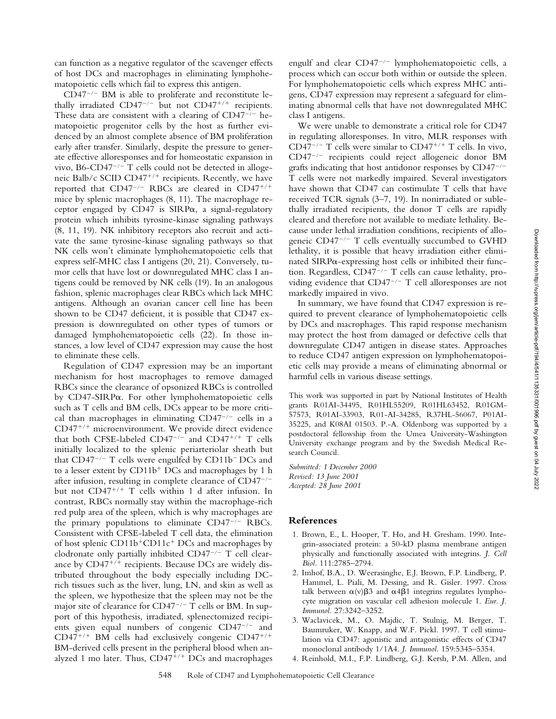can function as a negative regulator of the scavenger effects of host DCs and macrophages in eliminating lymphohematopoietic cells which fail to express this antigen.

 $CD47$ <sup>-/-</sup> BM is able to proliferate and reconstitute lethally irradiated CD47<sup>-/-</sup> but not CD47<sup>+/+</sup> recipients. These data are consistent with a clearing of  $CD47^{-/-}$  hematopoietic progenitor cells by the host as further evidenced by an almost complete absence of BM proliferation early after transfer. Similarly, despite the pressure to generate effective alloresponses and for homeostatic expansion in vivo,  $B6$ -CD47<sup>-/-</sup> T cells could not be detected in allogeneic Balb/c SCID CD47<sup>+/+</sup> recipients. Recently, we have reported that CD47<sup>-/-</sup> RBCs are cleared in CD47<sup>+/+</sup> mice by splenic macrophages (8, 11). The macrophage receptor engaged by CD47 is  $SIRP\alpha$ , a signal-regulatory protein which inhibits tyrosine-kinase signaling pathways (8, 11, 19). NK inhibitory receptors also recruit and activate the same tyrosine-kinase signaling pathways so that NK cells won't eliminate lymphohematopoietic cells that express self-MHC class I antigens (20, 21). Conversely, tumor cells that have lost or downregulated MHC class I antigens could be removed by NK cells (19). In an analogous fashion, splenic macrophages clear RBCs which lack MHC antigens. Although an ovarian cancer cell line has been shown to be CD47 deficient, it is possible that CD47 expression is downregulated on other types of tumors or damaged lymphohematopoietic cells (22). In those instances, a low level of CD47 expression may cause the host to eliminate these cells.

Regulation of CD47 expression may be an important mechanism for host macrophages to remove damaged RBCs since the clearance of opsonized RBCs is controlled by  $CD47-SIRP\alpha$ . For other lymphohematopoietic cells such as T cells and BM cells, DCs appear to be more critical than macrophages in eliminating  $CD47^{-/-}$  cells in a CD47<sup>+/+</sup> microenvironment. We provide direct evidence that both CFSE-labeled  $CD47^{-/-}$  and  $CD47^{+/+}$  T cells initially localized to the splenic periarteriolar sheath but that  $CD47^{-/-}$  T cells were engulfed by  $CD11b^-DCs$  and to a lesser extent by CD11b<sup>+</sup> DCs and macrophages by 1 h after infusion, resulting in complete clearance of  $CD47^{-/-}$ but not CD47-/- T cells within 1 d after infusion. In contrast, RBCs normally stay within the macrophage-rich red pulp area of the spleen, which is why macrophages are the primary populations to eliminate  $CD47^{-/-}$  RBCs. Consistent with CFSE-labeled T cell data, the elimination of host splenic CD11b<sup>+</sup>CD11c<sup>+</sup> DCs and macrophages by clodronate only partially inhibited CD47 $^{-/-}$  T cell clearance by CD47<sup>+/+</sup> recipients. Because DCs are widely distributed throughout the body especially including DCrich tissues such as the liver, lung, LN, and skin as well as the spleen, we hypothesize that the spleen may not be the major site of clearance for  $CD47^{-/-}$  T cells or BM. In support of this hypothesis, irradiated, splenectomized recipients given equal numbers of congenic  $CD47^{-/-}$  and CD47<sup>+/+</sup> BM cells had exclusively congenic CD47<sup>+/+</sup> BM-derived cells present in the peripheral blood when analyzed 1 mo later. Thus, CD47<sup>+/+</sup> DCs and macrophages

engulf and clear  $CD47^{-/-}$  lymphohematopoietic cells, a process which can occur both within or outside the spleen. For lymphohematopoietic cells which express MHC antigens, CD47 expression may represent a safeguard for eliminating abnormal cells that have not downregulated MHC class I antigens.

We were unable to demonstrate a critical role for CD47 in regulating alloresponses. In vitro, MLR responses with CD47<sup>-/-</sup> T cells were similar to CD47<sup>+/+</sup> T cells. In vivo, CD47<sup>-/-</sup> recipients could reject allogeneic donor BM grafts indicating that host antidonor responses by  $CD47^{-/-}$ T cells were not markedly impaired. Several investigators have shown that CD47 can costimulate T cells that have received TCR signals (3–7, 19). In nonirradiated or sublethally irradiated recipients, the donor T cells are rapidly cleared and therefore not available to mediate lethality. Because under lethal irradiation conditions, recipients of allogeneic  $CD47^{-/-}$  T cells eventually succumbed to GVHD lethality, it is possible that heavy irradiation either eliminated SIRP $\alpha$ -expressing host cells or inhibited their function. Regardless,  $CD47^{-/-}$  T cells can cause lethality, providing evidence that  $CD47^{-/-}$  T cell alloresponses are not markedly impaired in vivo.

In summary, we have found that CD47 expression is required to prevent clearance of lymphohematopoietic cells by DCs and macrophages. This rapid response mechanism may protect the host from damaged or defective cells that downregulate CD47 antigen in disease states. Approaches to reduce CD47 antigen expression on lymphohematopoietic cells may provide a means of eliminating abnormal or harmful cells in various disease settings.

This work was supported in part by National Institutes of Health grants R01AI-34495, R01HL55209, R01HL63452, R01GM-57573, R01AI-33903, R01-AI-34285, R37HL-56067, P01AI-35225, and K08AI 01503. P.-A. Oldenborg was supported by a postdoctoral fellowship from the Umea University-Washington University exchange program and by the Swedish Medical Research Council.

*Submitted: 1 December 2000 Revised: 13 June 2001 Accepted: 28 June 2001*

## **References**

- 1. Brown, E., L. Hooper, T. Ho, and H. Gresham. 1990. Integrin-associated protein: a 50-kD plasma membrane antigen physically and functionally associated with integrins. *J. Cell Biol.* 111:2785–2794.
- 2. Imhof, B.A., D. Weerasinghe, E.J. Brown, F.P. Lindberg, P. Hammel, L. Piali, M. Dessing, and R. Gisler. 1997. Cross talk between  $\alpha(v) \beta 3$  and  $\alpha 4\beta 1$  integrins regulates lymphocyte migration on vascular cell adhesion molecule 1. *Eur. J. Immunol.* 27:3242–3252.
- 3. Waclavicek, M., O. Majdic, T. Stulnig, M. Berger, T. Baumruker, W. Knapp, and W.F. Pickl. 1997. T cell stimulation via CD47: agonistic and antagonistic effects of CD47 monoclonal antibody 1/1A4. *J. Immunol.* 159:5345–5354.
- 4. Reinhold, M.I., F.P. Lindberg, G.J. Kersh, P.M. Allen, and